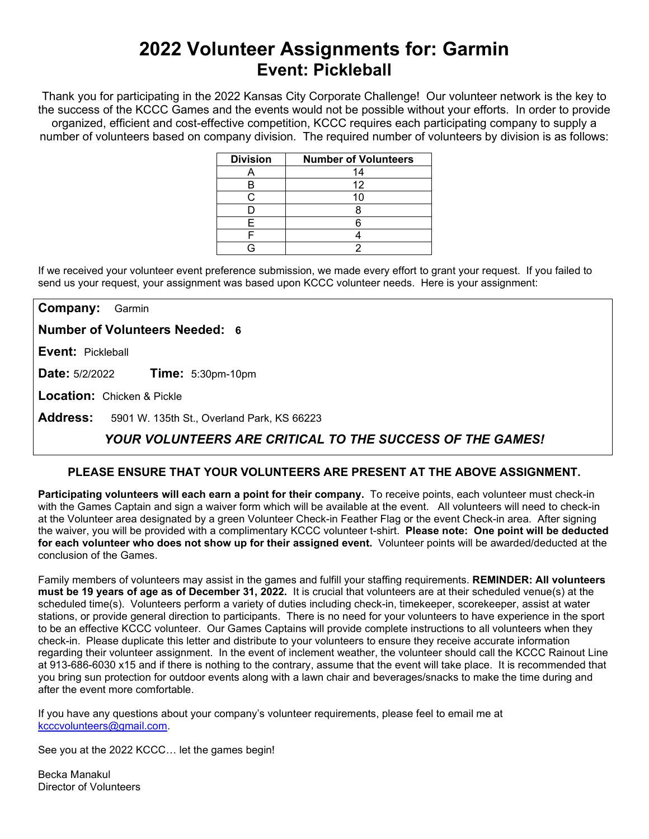# **2022 Volunteer Assignments for: Garmin Event: Pickleball**

Thank you for participating in the 2022 Kansas City Corporate Challenge! Our volunteer network is the key to the success of the KCCC Games and the events would not be possible without your efforts.In order to provide organized, efficient and cost-effective competition, KCCC requires each participating company to supply a number of volunteers based on company division. The required number of volunteers by division is as follows:

| <b>Division</b> | <b>Number of Volunteers</b> |
|-----------------|-----------------------------|
|                 | 14                          |
|                 | 12                          |
|                 |                             |
|                 |                             |
|                 |                             |
|                 |                             |
|                 |                             |

If we received your volunteer event preference submission, we made every effort to grant your request. If you failed to send us your request, your assignment was based upon KCCC volunteer needs. Here is your assignment:

**Company:** Garmin

**Number of Volunteers Needed: 6**

**Event:** Pickleball

**Date:** 5/2/2022 **Time:** 5:30pm-10pm

**Location:** Chicken & Pickle

**Address:** 5901 W. 135th St., Overland Park, KS 66223

## *YOUR VOLUNTEERS ARE CRITICAL TO THE SUCCESS OF THE GAMES!*

### **PLEASE ENSURE THAT YOUR VOLUNTEERS ARE PRESENT AT THE ABOVE ASSIGNMENT.**

**Participating volunteers will each earn a point for their company.** To receive points, each volunteer must check-in with the Games Captain and sign a waiver form which will be available at the event. All volunteers will need to check-in at the Volunteer area designated by a green Volunteer Check-in Feather Flag or the event Check-in area. After signing the waiver, you will be provided with a complimentary KCCC volunteer t-shirt. **Please note: One point will be deducted for each volunteer who does not show up for their assigned event.** Volunteer points will be awarded/deducted at the conclusion of the Games.

Family members of volunteers may assist in the games and fulfill your staffing requirements. **REMINDER: All volunteers must be 19 years of age as of December 31, 2022.** It is crucial that volunteers are at their scheduled venue(s) at the scheduled time(s). Volunteers perform a variety of duties including check-in, timekeeper, scorekeeper, assist at water stations, or provide general direction to participants. There is no need for your volunteers to have experience in the sport to be an effective KCCC volunteer. Our Games Captains will provide complete instructions to all volunteers when they check-in. Please duplicate this letter and distribute to your volunteers to ensure they receive accurate information regarding their volunteer assignment. In the event of inclement weather, the volunteer should call the KCCC Rainout Line at 913-686-6030 x15 and if there is nothing to the contrary, assume that the event will take place. It is recommended that you bring sun protection for outdoor events along with a lawn chair and beverages/snacks to make the time during and after the event more comfortable.

If you have any questions about your company's volunteer requirements, please feel to email me at [kcccvolunteers@gmail.com.](mailto:kcccvolunteers@gmail.com)

See you at the 2022 KCCC… let the games begin!

Becka Manakul Director of Volunteers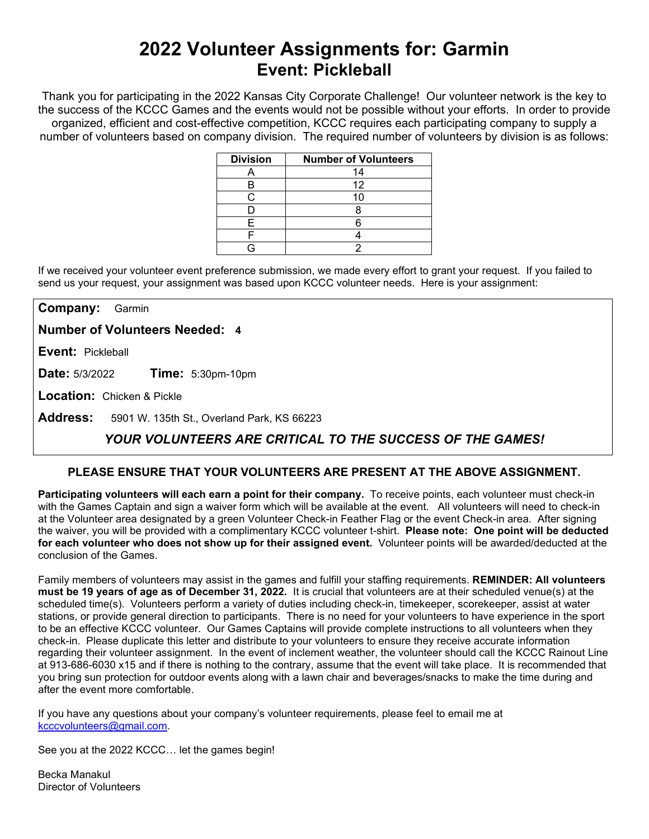# **2022 Volunteer Assignments for: Garmin Event: Pickleball**

Thank you for participating in the 2022 Kansas City Corporate Challenge! Our volunteer network is the key to the success of the KCCC Games and the events would not be possible without your efforts.In order to provide organized, efficient and cost-effective competition, KCCC requires each participating company to supply a number of volunteers based on company division. The required number of volunteers by division is as follows:

| <b>Division</b> | <b>Number of Volunteers</b> |
|-----------------|-----------------------------|
|                 | 14                          |
|                 | 12                          |
|                 |                             |
|                 |                             |
|                 |                             |
|                 |                             |
|                 |                             |

If we received your volunteer event preference submission, we made every effort to grant your request. If you failed to send us your request, your assignment was based upon KCCC volunteer needs. Here is your assignment:

**Company:** Garmin

**Number of Volunteers Needed: 4**

**Event:** Pickleball

**Date:** 5/3/2022 **Time:** 5:30pm-10pm

**Location:** Chicken & Pickle

**Address:** 5901 W. 135th St., Overland Park, KS 66223

## *YOUR VOLUNTEERS ARE CRITICAL TO THE SUCCESS OF THE GAMES!*

### **PLEASE ENSURE THAT YOUR VOLUNTEERS ARE PRESENT AT THE ABOVE ASSIGNMENT.**

**Participating volunteers will each earn a point for their company.** To receive points, each volunteer must check-in with the Games Captain and sign a waiver form which will be available at the event. All volunteers will need to check-in at the Volunteer area designated by a green Volunteer Check-in Feather Flag or the event Check-in area. After signing the waiver, you will be provided with a complimentary KCCC volunteer t-shirt. **Please note: One point will be deducted for each volunteer who does not show up for their assigned event.** Volunteer points will be awarded/deducted at the conclusion of the Games.

Family members of volunteers may assist in the games and fulfill your staffing requirements. **REMINDER: All volunteers must be 19 years of age as of December 31, 2022.** It is crucial that volunteers are at their scheduled venue(s) at the scheduled time(s). Volunteers perform a variety of duties including check-in, timekeeper, scorekeeper, assist at water stations, or provide general direction to participants. There is no need for your volunteers to have experience in the sport to be an effective KCCC volunteer. Our Games Captains will provide complete instructions to all volunteers when they check-in. Please duplicate this letter and distribute to your volunteers to ensure they receive accurate information regarding their volunteer assignment. In the event of inclement weather, the volunteer should call the KCCC Rainout Line at 913-686-6030 x15 and if there is nothing to the contrary, assume that the event will take place. It is recommended that you bring sun protection for outdoor events along with a lawn chair and beverages/snacks to make the time during and after the event more comfortable.

If you have any questions about your company's volunteer requirements, please feel to email me at [kcccvolunteers@gmail.com.](mailto:kcccvolunteers@gmail.com)

See you at the 2022 KCCC… let the games begin!

Becka Manakul Director of Volunteers